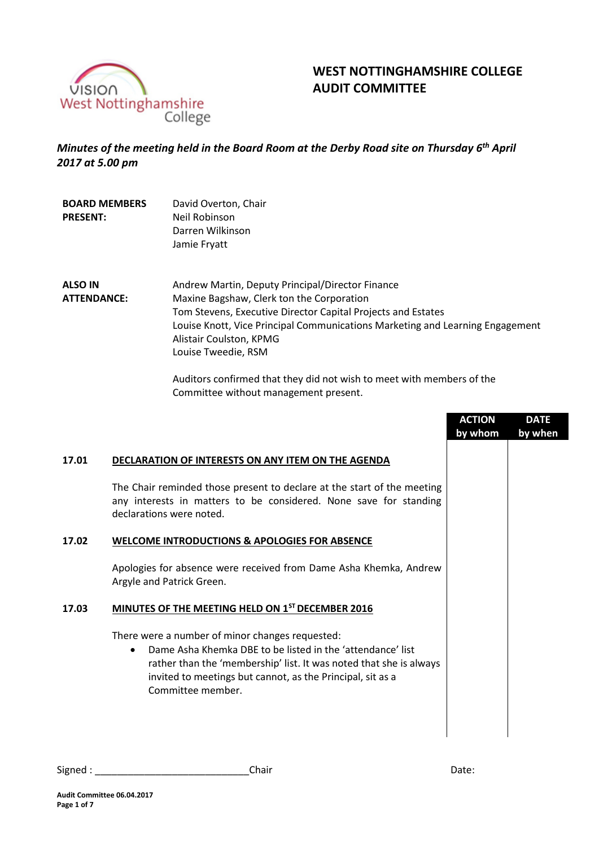

# **WEST NOTTINGHAMSHIRE COLLEGE AUDIT COMMITTEE**

*Minutes of the meeting held in the Board Room at the Derby Road site on Thursday 6th April 2017 at 5.00 pm*

| <b>BOARD MEMBERS</b><br><b>PRESENT:</b> | David Overton, Chair<br>Neil Robinson<br>Darren Wilkinson<br>Jamie Fryatt                                                                                                                                                                                                                        |
|-----------------------------------------|--------------------------------------------------------------------------------------------------------------------------------------------------------------------------------------------------------------------------------------------------------------------------------------------------|
| <b>ALSO IN</b><br><b>ATTENDANCE:</b>    | Andrew Martin, Deputy Principal/Director Finance<br>Maxine Bagshaw, Clerk ton the Corporation<br>Tom Stevens, Executive Director Capital Projects and Estates<br>Louise Knott, Vice Principal Communications Marketing and Learning Engagement<br>Alistair Coulston, KPMG<br>Louise Tweedie, RSM |

Auditors confirmed that they did not wish to meet with members of the Committee without management present.

|       |                                                                                                                                                                                                                                                                                     | <b>ACTION</b><br>by whom | <b>DATE</b><br>by when |
|-------|-------------------------------------------------------------------------------------------------------------------------------------------------------------------------------------------------------------------------------------------------------------------------------------|--------------------------|------------------------|
| 17.01 | DECLARATION OF INTERESTS ON ANY ITEM ON THE AGENDA                                                                                                                                                                                                                                  |                          |                        |
|       | The Chair reminded those present to declare at the start of the meeting<br>any interests in matters to be considered. None save for standing<br>declarations were noted.                                                                                                            |                          |                        |
| 17.02 | <b>WELCOME INTRODUCTIONS &amp; APOLOGIES FOR ABSENCE</b>                                                                                                                                                                                                                            |                          |                        |
|       | Apologies for absence were received from Dame Asha Khemka, Andrew<br>Argyle and Patrick Green.                                                                                                                                                                                      |                          |                        |
| 17.03 | MINUTES OF THE MEETING HELD ON 1ST DECEMBER 2016                                                                                                                                                                                                                                    |                          |                        |
|       | There were a number of minor changes requested:<br>Dame Asha Khemka DBE to be listed in the 'attendance' list<br>$\bullet$<br>rather than the 'membership' list. It was noted that she is always<br>invited to meetings but cannot, as the Principal, sit as a<br>Committee member. |                          |                        |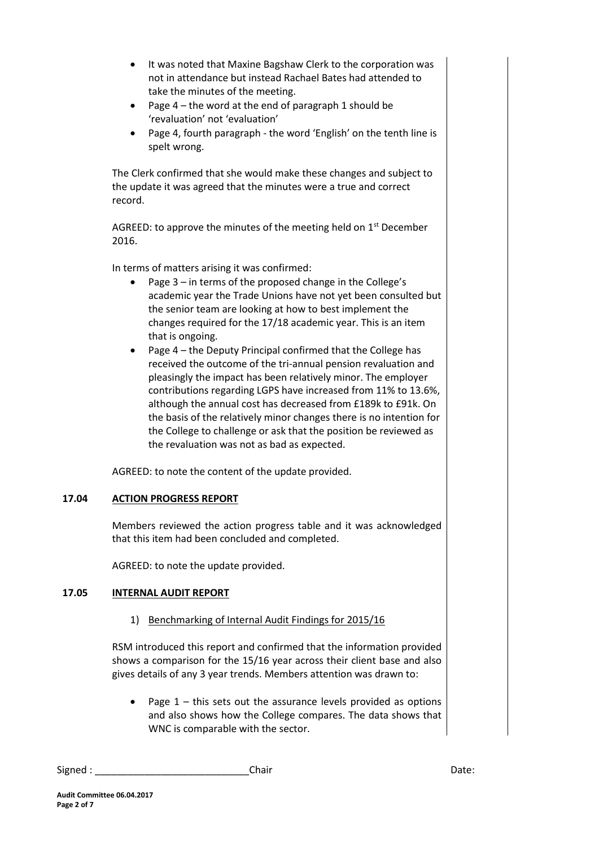- It was noted that Maxine Bagshaw Clerk to the corporation was not in attendance but instead Rachael Bates had attended to take the minutes of the meeting.
- Page  $4$  the word at the end of paragraph 1 should be 'revaluation' not 'evaluation'
- Page 4, fourth paragraph the word 'English' on the tenth line is spelt wrong.

The Clerk confirmed that she would make these changes and subject to the update it was agreed that the minutes were a true and correct record.

AGREED: to approve the minutes of the meeting held on  $1<sup>st</sup>$  December 2016.

In terms of matters arising it was confirmed:

- Page 3 in terms of the proposed change in the College's academic year the Trade Unions have not yet been consulted but the senior team are looking at how to best implement the changes required for the 17/18 academic year. This is an item that is ongoing.
- Page 4 the Deputy Principal confirmed that the College has received the outcome of the tri-annual pension revaluation and pleasingly the impact has been relatively minor. The employer contributions regarding LGPS have increased from 11% to 13.6%, although the annual cost has decreased from £189k to £91k. On the basis of the relatively minor changes there is no intention for the College to challenge or ask that the position be reviewed as the revaluation was not as bad as expected.

AGREED: to note the content of the update provided.

### **17.04 ACTION PROGRESS REPORT**

Members reviewed the action progress table and it was acknowledged that this item had been concluded and completed.

AGREED: to note the update provided.

### **17.05 INTERNAL AUDIT REPORT**

### 1) Benchmarking of Internal Audit Findings for 2015/16

RSM introduced this report and confirmed that the information provided shows a comparison for the 15/16 year across their client base and also gives details of any 3 year trends. Members attention was drawn to:

• Page  $1$  – this sets out the assurance levels provided as options and also shows how the College compares. The data shows that WNC is comparable with the sector.

```
Signed : ____________________________Chair Date:
```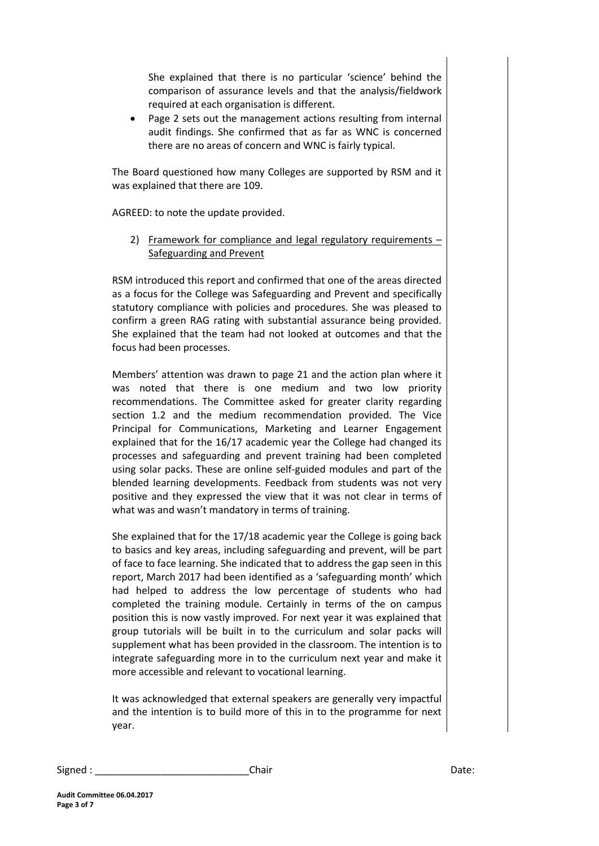She explained that there is no particular 'science' behind the comparison of assurance levels and that the analysis/fieldwork required at each organisation is different.

 Page 2 sets out the management actions resulting from internal audit findings. She confirmed that as far as WNC is concerned there are no areas of concern and WNC is fairly typical.

The Board questioned how many Colleges are supported by RSM and it was explained that there are 109.

AGREED: to note the update provided.

2) Framework for compliance and legal regulatory requirements  $-$ Safeguarding and Prevent

RSM introduced this report and confirmed that one of the areas directed as a focus for the College was Safeguarding and Prevent and specifically statutory compliance with policies and procedures. She was pleased to confirm a green RAG rating with substantial assurance being provided. She explained that the team had not looked at outcomes and that the focus had been processes.

Members' attention was drawn to page 21 and the action plan where it was noted that there is one medium and two low priority recommendations. The Committee asked for greater clarity regarding section 1.2 and the medium recommendation provided. The Vice Principal for Communications, Marketing and Learner Engagement explained that for the 16/17 academic year the College had changed its processes and safeguarding and prevent training had been completed using solar packs. These are online self-guided modules and part of the blended learning developments. Feedback from students was not very positive and they expressed the view that it was not clear in terms of what was and wasn't mandatory in terms of training.

She explained that for the 17/18 academic year the College is going back to basics and key areas, including safeguarding and prevent, will be part of face to face learning. She indicated that to address the gap seen in this report, March 2017 had been identified as a 'safeguarding month' which had helped to address the low percentage of students who had completed the training module. Certainly in terms of the on campus position this is now vastly improved. For next year it was explained that group tutorials will be built in to the curriculum and solar packs will supplement what has been provided in the classroom. The intention is to integrate safeguarding more in to the curriculum next year and make it more accessible and relevant to vocational learning.

It was acknowledged that external speakers are generally very impactful and the intention is to build more of this in to the programme for next year.

| Signed | Chair | Date: |
|--------|-------|-------|
|--------|-------|-------|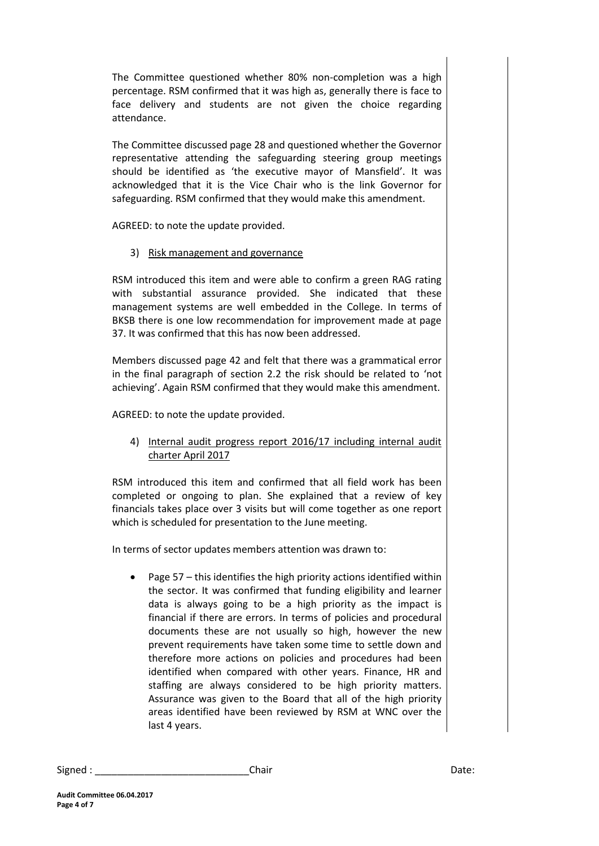The Committee questioned whether 80% non-completion was a high percentage. RSM confirmed that it was high as, generally there is face to face delivery and students are not given the choice regarding attendance.

The Committee discussed page 28 and questioned whether the Governor representative attending the safeguarding steering group meetings should be identified as 'the executive mayor of Mansfield'. It was acknowledged that it is the Vice Chair who is the link Governor for safeguarding. RSM confirmed that they would make this amendment.

AGREED: to note the update provided.

## 3) Risk management and governance

RSM introduced this item and were able to confirm a green RAG rating with substantial assurance provided. She indicated that these management systems are well embedded in the College. In terms of BKSB there is one low recommendation for improvement made at page 37. It was confirmed that this has now been addressed.

Members discussed page 42 and felt that there was a grammatical error in the final paragraph of section 2.2 the risk should be related to 'not achieving'. Again RSM confirmed that they would make this amendment.

AGREED: to note the update provided.

4) Internal audit progress report 2016/17 including internal audit charter April 2017

RSM introduced this item and confirmed that all field work has been completed or ongoing to plan. She explained that a review of key financials takes place over 3 visits but will come together as one report which is scheduled for presentation to the June meeting.

In terms of sector updates members attention was drawn to:

• Page  $57 -$  this identifies the high priority actions identified within the sector. It was confirmed that funding eligibility and learner data is always going to be a high priority as the impact is financial if there are errors. In terms of policies and procedural documents these are not usually so high, however the new prevent requirements have taken some time to settle down and therefore more actions on policies and procedures had been identified when compared with other years. Finance, HR and staffing are always considered to be high priority matters. Assurance was given to the Board that all of the high priority areas identified have been reviewed by RSM at WNC over the last 4 years.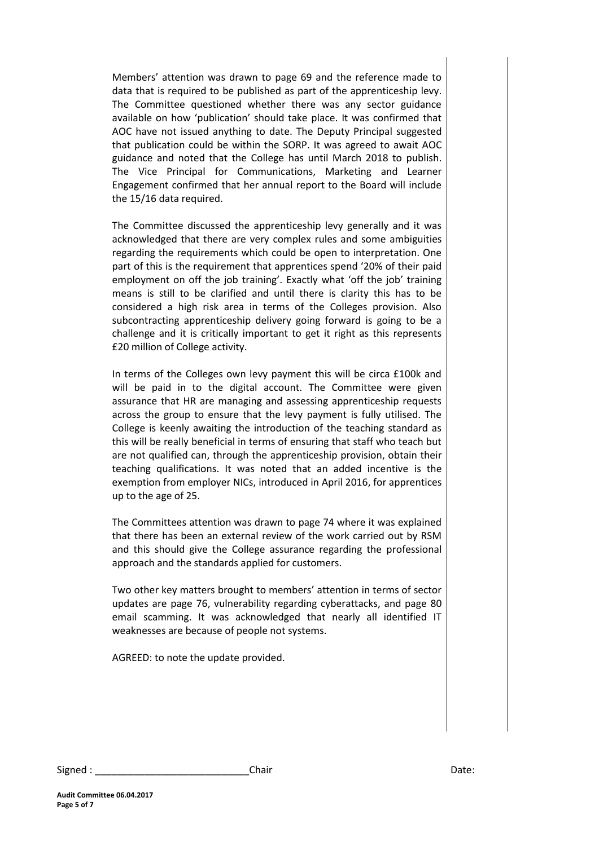Members' attention was drawn to page 69 and the reference made to data that is required to be published as part of the apprenticeship levy. The Committee questioned whether there was any sector guidance available on how 'publication' should take place. It was confirmed that AOC have not issued anything to date. The Deputy Principal suggested that publication could be within the SORP. It was agreed to await AOC guidance and noted that the College has until March 2018 to publish. The Vice Principal for Communications, Marketing and Learner Engagement confirmed that her annual report to the Board will include the 15/16 data required.

The Committee discussed the apprenticeship levy generally and it was acknowledged that there are very complex rules and some ambiguities regarding the requirements which could be open to interpretation. One part of this is the requirement that apprentices spend '20% of their paid employment on off the job training'. Exactly what 'off the job' training means is still to be clarified and until there is clarity this has to be considered a high risk area in terms of the Colleges provision. Also subcontracting apprenticeship delivery going forward is going to be a challenge and it is critically important to get it right as this represents £20 million of College activity.

In terms of the Colleges own levy payment this will be circa £100k and will be paid in to the digital account. The Committee were given assurance that HR are managing and assessing apprenticeship requests across the group to ensure that the levy payment is fully utilised. The College is keenly awaiting the introduction of the teaching standard as this will be really beneficial in terms of ensuring that staff who teach but are not qualified can, through the apprenticeship provision, obtain their teaching qualifications. It was noted that an added incentive is the exemption from employer NICs, introduced in April 2016, for apprentices up to the age of 25.

The Committees attention was drawn to page 74 where it was explained that there has been an external review of the work carried out by RSM and this should give the College assurance regarding the professional approach and the standards applied for customers.

Two other key matters brought to members' attention in terms of sector updates are page 76, vulnerability regarding cyberattacks, and page 80 email scamming. It was acknowledged that nearly all identified IT weaknesses are because of people not systems.

AGREED: to note the update provided.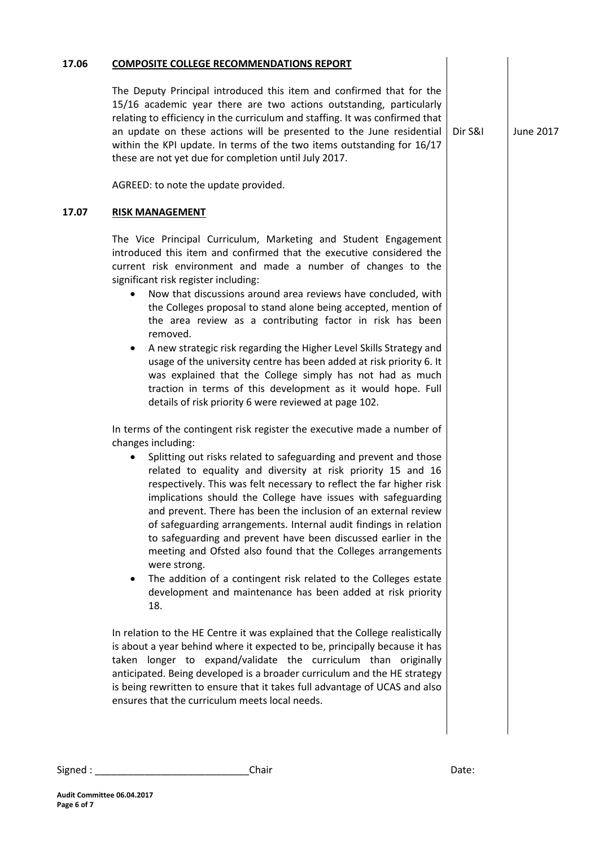| 17.06 | <b>COMPOSITE COLLEGE RECOMMENDATIONS REPORT</b>                                                                                                                                                                                                                                                                                                                                                                                                                                                                                                                                                                                                                                                                                                                                                                                                                                                                                                                                                                                                                                                                                                                                                                                                                                                                                                                                                                                                                                                                                                                                                                                                                                                                                                                                                                                                                                                                                                                                                                                                                       |         |           |
|-------|-----------------------------------------------------------------------------------------------------------------------------------------------------------------------------------------------------------------------------------------------------------------------------------------------------------------------------------------------------------------------------------------------------------------------------------------------------------------------------------------------------------------------------------------------------------------------------------------------------------------------------------------------------------------------------------------------------------------------------------------------------------------------------------------------------------------------------------------------------------------------------------------------------------------------------------------------------------------------------------------------------------------------------------------------------------------------------------------------------------------------------------------------------------------------------------------------------------------------------------------------------------------------------------------------------------------------------------------------------------------------------------------------------------------------------------------------------------------------------------------------------------------------------------------------------------------------------------------------------------------------------------------------------------------------------------------------------------------------------------------------------------------------------------------------------------------------------------------------------------------------------------------------------------------------------------------------------------------------------------------------------------------------------------------------------------------------|---------|-----------|
|       | The Deputy Principal introduced this item and confirmed that for the<br>15/16 academic year there are two actions outstanding, particularly<br>relating to efficiency in the curriculum and staffing. It was confirmed that<br>an update on these actions will be presented to the June residential<br>within the KPI update. In terms of the two items outstanding for 16/17<br>these are not yet due for completion until July 2017.                                                                                                                                                                                                                                                                                                                                                                                                                                                                                                                                                                                                                                                                                                                                                                                                                                                                                                                                                                                                                                                                                                                                                                                                                                                                                                                                                                                                                                                                                                                                                                                                                                | Dir S&I | June 2017 |
|       | AGREED: to note the update provided.                                                                                                                                                                                                                                                                                                                                                                                                                                                                                                                                                                                                                                                                                                                                                                                                                                                                                                                                                                                                                                                                                                                                                                                                                                                                                                                                                                                                                                                                                                                                                                                                                                                                                                                                                                                                                                                                                                                                                                                                                                  |         |           |
| 17.07 | <b>RISK MANAGEMENT</b>                                                                                                                                                                                                                                                                                                                                                                                                                                                                                                                                                                                                                                                                                                                                                                                                                                                                                                                                                                                                                                                                                                                                                                                                                                                                                                                                                                                                                                                                                                                                                                                                                                                                                                                                                                                                                                                                                                                                                                                                                                                |         |           |
|       | The Vice Principal Curriculum, Marketing and Student Engagement<br>introduced this item and confirmed that the executive considered the<br>current risk environment and made a number of changes to the<br>significant risk register including:<br>Now that discussions around area reviews have concluded, with<br>the Colleges proposal to stand alone being accepted, mention of<br>the area review as a contributing factor in risk has been<br>removed.<br>A new strategic risk regarding the Higher Level Skills Strategy and<br>٠<br>usage of the university centre has been added at risk priority 6. It<br>was explained that the College simply has not had as much<br>traction in terms of this development as it would hope. Full<br>details of risk priority 6 were reviewed at page 102.<br>In terms of the contingent risk register the executive made a number of<br>changes including:<br>Splitting out risks related to safeguarding and prevent and those<br>related to equality and diversity at risk priority 15 and 16<br>respectively. This was felt necessary to reflect the far higher risk<br>implications should the College have issues with safeguarding<br>and prevent. There has been the inclusion of an external review<br>of safeguarding arrangements. Internal audit findings in relation<br>to safeguarding and prevent have been discussed earlier in the<br>meeting and Ofsted also found that the Colleges arrangements<br>were strong.<br>The addition of a contingent risk related to the Colleges estate<br>development and maintenance has been added at risk priority<br>18.<br>In relation to the HE Centre it was explained that the College realistically<br>is about a year behind where it expected to be, principally because it has<br>taken longer to expand/validate the curriculum than originally<br>anticipated. Being developed is a broader curriculum and the HE strategy<br>is being rewritten to ensure that it takes full advantage of UCAS and also<br>ensures that the curriculum meets local needs. |         |           |